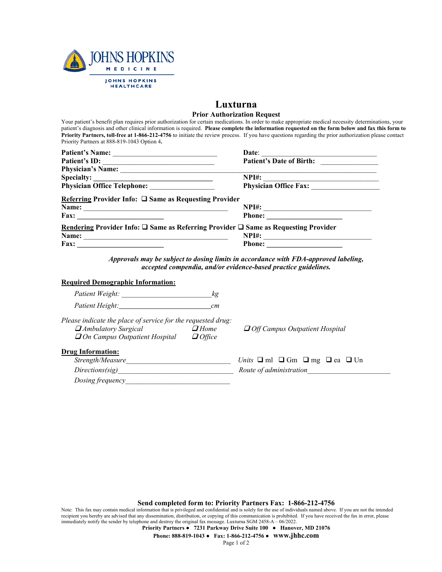

## **Luxturna Prior Authorization Request**

Your patient's benefit plan requires prior authorization for certain medications. In order to make appropriate medical necessity determinations, your patient's diagnosis and other clinical information is required. **Please complete the information requested on the form below and fax this form to Priority Partners, toll-free at 1-866-212-4756** to initiate the review process. If you have questions regarding the prior authorization please contact Priority Partners at 888-819-1043 Option 4**.**

| Patient's Name:                                                                                                                                                          | Date:                                                          |
|--------------------------------------------------------------------------------------------------------------------------------------------------------------------------|----------------------------------------------------------------|
| Patient's ID:                                                                                                                                                            | Patient's Date of Birth:                                       |
| Physician's Name:                                                                                                                                                        |                                                                |
|                                                                                                                                                                          | NPI#:                                                          |
|                                                                                                                                                                          | Physician Office Fax:                                          |
| Referring Provider Info: □ Same as Requesting Provider                                                                                                                   |                                                                |
| Name:                                                                                                                                                                    |                                                                |
|                                                                                                                                                                          |                                                                |
| Rendering Provider Info: $\square$ Same as Referring Provider $\square$ Same as Requesting Provider                                                                      |                                                                |
|                                                                                                                                                                          |                                                                |
|                                                                                                                                                                          |                                                                |
| accepted compendia, and/or evidence-based practice guidelines.<br><b>Required Demographic Information:</b>                                                               |                                                                |
|                                                                                                                                                                          |                                                                |
| Patient Height: cm                                                                                                                                                       |                                                                |
| Please indicate the place of service for the requested drug:<br><b><i>H</i></b> Ambulatory Surgical<br>$\Box$ Home<br>$\Box$ On Campus Outpatient Hospital $\Box$ Office | $\Box$ Off Campus Outpatient Hospital                          |
| <b>Drug Information:</b>                                                                                                                                                 |                                                                |
|                                                                                                                                                                          | <i>Units</i> $\Box$ ml $\Box$ Gm $\Box$ mg $\Box$ ea $\Box$ Un |
| Directions(sig)                                                                                                                                                          | Route of administration                                        |
| Dosing frequency                                                                                                                                                         |                                                                |

**Send completed form to: Priority Partners Fax: 1-866-212-4756**

Note: This fax may contain medical information that is privileged and confidential and is solely for the use of individuals named above. If you are not the intended recipient you hereby are advised that any dissemination, distribution, or copying of this communication is prohibited. If you have received the fax in error, please immediately notify the sender by telephone and destroy the original fax message. Luxturna SGM 2458-A – 06/2022.

**Priority Partners ● 7231 Parkway Drive Suite 100 ● Hanover, MD 21076**

**Phone: 888-819-1043 ● Fax: 1-866-212-4756 ● www.jhhc.com**